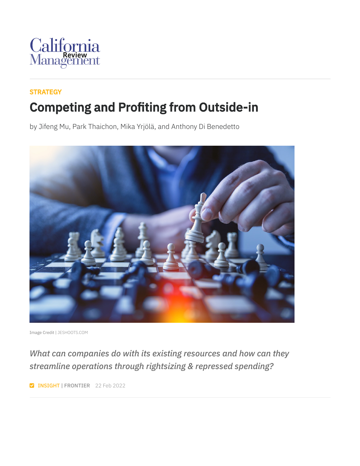

#### **[STRATEGY](https://cmr.berkeley.edu/browse/topics/strategy/)** Competing and Profiting from Outside-in

by Jifeng Mu, Park Thaichon, Mika Yrjölä, and Anthony Di Benedetto



Image Credit | [JESHOOTS.COM](https://unsplash.com/photos/fzOITuS1DIQ)

*What can companies do with its existing resources and how can they streamline operations through rightsizing & repressed spending?*

**INSIGHT | FRONTIER** 22 Feb 2022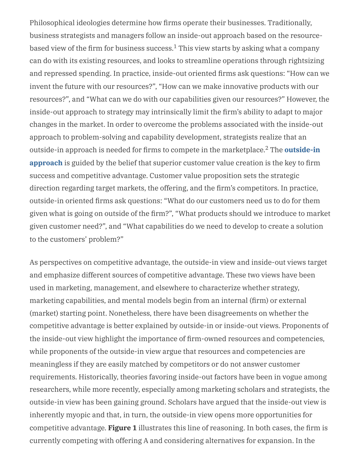Philosophical ideologies determine how firms operate their businesses. Traditionally, business strategists and managers follow an inside-out approach based on the resourcebased view of the firm for business success. $^1$  This view starts by asking what a company can do with its existing resources, and looks to streamline operations through rightsizing and repressed spending. In practice, inside-out oriented firms ask questions: "How can we invent the future with our resources?", "How can we make innovative products with our resources?", and "What can we do with our capabilities given our resources?" However, the inside-out approach to strategy may intrinsically limit the firm's ability to adapt to major changes in the market. In order to overcome the problems associated with the inside-out approach to problem-solving and capability development, strategists realize that an outside-in approach is needed for firms to compete in the [marketplace.](https://www.hypeinnovation.com/approach/examples/open-innovation)<sup>2</sup> The **outside-in approach** is guided by the belief that superior customer value creation is the key to firm success and competitive advantage. Customer value proposition sets the strategic direction regarding target markets, the offering, and the firm's competitors. In practice, outside-in oriented firms ask questions: "What do our customers need us to do for them given what is going on outside of the firm?", "What products should we introduce to market given customer need?", and "What capabilities do we need to develop to create a solution to the customers' problem?"

As perspectives on competitive advantage, the outside-in view and inside-out views target and emphasize different sources of competitive advantage. These two views have been used in marketing, management, and elsewhere to characterize whether strategy, marketing capabilities, and mental models begin from an internal (firm) or external (market) starting point. Nonetheless, there have been disagreements on whether the competitive advantage is better explained by outside-in or inside-out views. Proponents of the inside-out view highlight the importance of firm-owned resources and competencies, while proponents of the outside-in view argue that resources and competencies are meaningless if they are easily matched by competitors or do not answer customer requirements. Historically, theories favoring inside-out factors have been in vogue among researchers, while more recently, especially among marketing scholars and strategists, the outside-in view has been gaining ground. Scholars have argued that the inside-out view is inherently myopic and that, in turn, the outside-in view opens more opportunities for competitive advantage. **Figure 1** illustrates this line of reasoning. In both cases, the firm is currently competing with offering A and considering alternatives for expansion. In the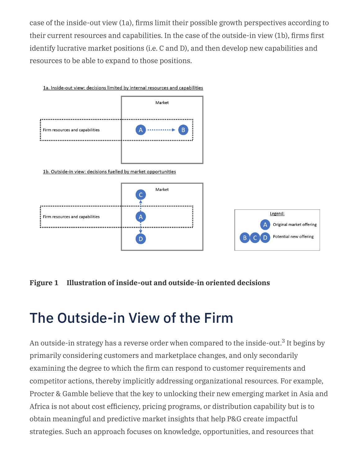case of the inside-out view (1a), firms limit their possible growth perspectives according to their current resources and capabilities. In the case of the outside-in view (1b), firms first identify lucrative market positions (i.e. C and D), and then develop new capabilities and resources to be able to expand to those positions.



#### **Figure 1 Illustration of inside-out and outside-in oriented decisions**

## The Outside-in View of the Firm

An outside-in strategy has a reverse order when compared to the inside-out.<sup>3</sup> It begins by primarily considering customers and marketplace changes, and only secondarily examining the degree to which the firm can respond to customer requirements and competitor actions, thereby implicitly addressing organizational resources. For example, Procter & Gamble believe that the key to unlocking their new emerging market in Asia and Africa is not about cost efficiency, pricing programs, or distribution capability but is to obtain meaningful and predictive market insights that help P&G create impactful strategies. Such an approach focuses on knowledge, opportunities, and resources that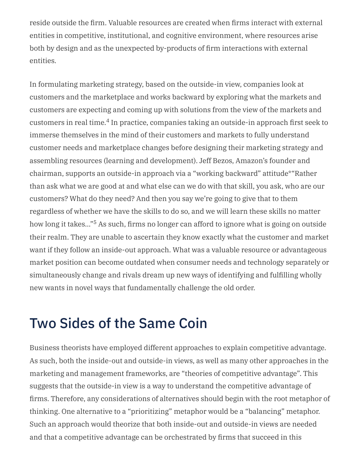reside outside the firm. Valuable resources are created when firms interact with external entities in competitive, institutional, and cognitive environment, where resources arise both by design and as the unexpected by-products of firm interactions with external entities.

In formulating marketing strategy, based on the outside-in view, companies look at customers and the marketplace and works backward by exploring what the markets and customers are expecting and coming up with solutions from the view of the markets and customers in real time.<sup>4</sup> In practice, companies taking an outside-in approach first seek to immerse themselves in the mind of their customers and markets to fully understand customer needs and marketplace changes before designing their marketing strategy and assembling resources (learning and development). Jeff Bezos, Amazon's founder and chairman, supports an outside-in approach via a "working backward" attitude\*"Rather than ask what we are good at and what else can we do with that skill, you ask, who are our customers? What do they need? And then you say we're going to give that to them regardless of whether we have the skills to do so, and we will learn these skills no matter how long it takes..."<sup>5</sup> As such, firms no longer can afford to ignore what is going on outside their realm. They are unable to ascertain they know exactly what the customer and market want if they follow an inside-out approach. What was a valuable resource or advantageous market position can become outdated when consumer needs and technology separately or simultaneously change and rivals dream up new ways of identifying and fulfilling wholly new wants in novel ways that fundamentally challenge the old order.

## Two Sides of the Same Coin

Business theorists have employed different approaches to explain competitive advantage. As such, both the inside-out and outside-in views, as well as many other approaches in the marketing and management frameworks, are "theories of competitive advantage". This suggests that the outside-in view is a way to understand the competitive advantage of firms. Therefore, any considerations of alternatives should begin with the root metaphor of thinking. One alternative to a "prioritizing" metaphor would be a "balancing" metaphor. Such an approach would theorize that both inside-out and outside-in views are needed and that a competitive advantage can be orchestrated by firms that succeed in this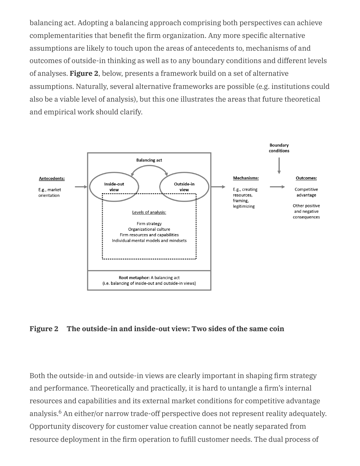balancing act. Adopting a balancing approach comprising both perspectives can achieve complementarities that benefit the firm organization. Any more specific alternative assumptions are likely to touch upon the areas of antecedents to, mechanisms of and outcomes of outside-in thinking as well as to any boundary conditions and different levels of analyses. **Figure 2**, below, presents a framework build on a set of alternative assumptions. Naturally, several alternative frameworks are possible (e.g. institutions could also be a viable level of analysis), but this one illustrates the areas that future theoretical and empirical work should clarify.



#### **Figure 2 The outside-in and inside-out view: Two sides of the same coin**

Both the outside-in and outside-in views are clearly important in shaping firm strategy and performance. Theoretically and practically, it is hard to untangle a firm's internal resources and capabilities and its external market conditions for competitive advantage analysis.<sup>6</sup> An either/or narrow trade-off perspective does not represent reality adequately. Opportunity discovery for customer value creation cannot be neatly separated from resource deployment in the firm operation to fufill customer needs. The dual process of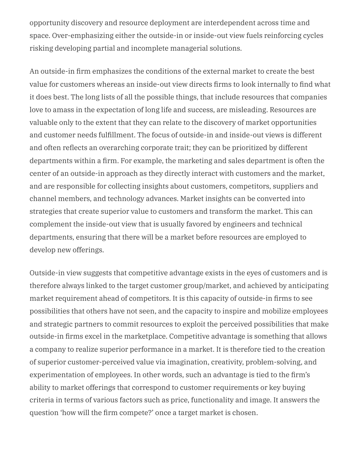opportunity discovery and resource deployment are interdependent across time and space. Over-emphasizing either the outside-in or inside-out view fuels reinforcing cycles risking developing partial and incomplete managerial solutions.

An outside-in firm emphasizes the conditions of the external market to create the best value for customers whereas an inside-out view directs firms to look internally to find what it does best. The long lists of all the possible things, that include resources that companies love to amass in the expectation of long life and success, are misleading. Resources are valuable only to the extent that they can relate to the discovery of market opportunities and customer needs fulfillment. The focus of outside-in and inside-out views is different and often reflects an overarching corporate trait; they can be prioritized by different departments within a firm. For example, the marketing and sales department is often the center of an outside-in approach as they directly interact with customers and the market, and are responsible for collecting insights about customers, competitors, suppliers and channel members, and technology advances. Market insights can be converted into strategies that create superior value to customers and transform the market. This can complement the inside-out view that is usually favored by engineers and technical departments, ensuring that there will be a market before resources are employed to develop new offerings.

Outside-in view suggests that competitive advantage exists in the eyes of customers and is therefore always linked to the target customer group/market, and achieved by anticipating market requirement ahead of competitors. It is this capacity of outside-in firms to see possibilities that others have not seen, and the capacity to inspire and mobilize employees and strategic partners to commit resources to exploit the perceived possibilities that make outside-in firms excel in the marketplace. Competitive advantage is something that allows a company to realize superior performance in a market. It is therefore tied to the creation of superior customer-perceived value via imagination, creativity, problem-solving, and experimentation of employees. In other words, such an advantage is tied to the firm's ability to market offerings that correspond to customer requirements or key buying criteria in terms of various factors such as price, functionality and image. It answers the question 'how will the firm compete?' once a target market is chosen.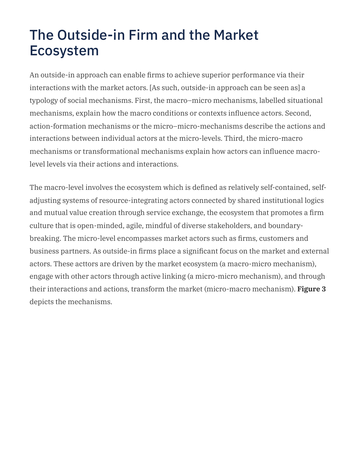## The Outside-in Firm and the Market Ecosystem

An outside-in approach can enable firms to achieve superior performance via their interactions with the market actors. [As such, outside-in approach can be seen as] a typology of social mechanisms. First, the macro–micro mechanisms, labelled situational mechanisms, explain how the macro conditions or contexts influence actors. Second, action-formation mechanisms or the micro–micro-mechanisms describe the actions and interactions between individual actors at the micro-levels. Third, the micro-macro mechanisms or transformational mechanisms explain how actors can influence macrolevel levels via their actions and interactions.

The macro-level involves the ecosystem which is defined as relatively self-contained, selfadjusting systems of resource-integrating actors connected by shared institutional logics and mutual value creation through service exchange, the ecosystem that promotes a firm culture that is open-minded, agile, mindful of diverse stakeholders, and boundarybreaking. The micro-level encompasses market actors such as firms, customers and business partners. As outside-in firms place a significant focus on the market and external actors. These acttors are driven by the market ecosystem (a macro-micro mechanism), engage with other actors through active linking (a micro-micro mechanism), and through their interactions and actions, transform the market (micro-macro mechanism). **Figure 3** depicts the mechanisms.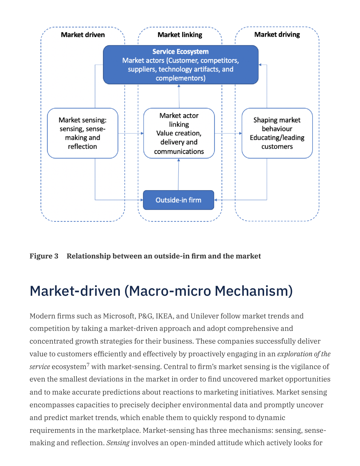

**Figure 3 Relationship between an outside-in firm and the market**

## Market-driven (Macro-micro Mechanism)

Modern firms such as Microsoft, P&G, IKEA, and Unilever follow market trends and competition by taking a market-driven approach and adopt comprehensive and concentrated growth strategies for their business. These companies successfully deliver value to customers efficiently and effectively by proactively engaging in an *exploration of the*  $\emph{service}$  ecosystem $^7$  with market-sensing. Central to firm's market sensing is the vigilance of even the smallest deviations in the market in order to find uncovered market opportunities and to make accurate predictions about reactions to marketing initiatives. Market sensing encompasses capacities to precisely decipher environmental data and promptly uncover and predict market trends, which enable them to quickly respond to dynamic requirements in the marketplace. Market-sensing has three mechanisms: sensing, sensemaking and reflection. *Sensing* involves an open-minded attitude which actively looks for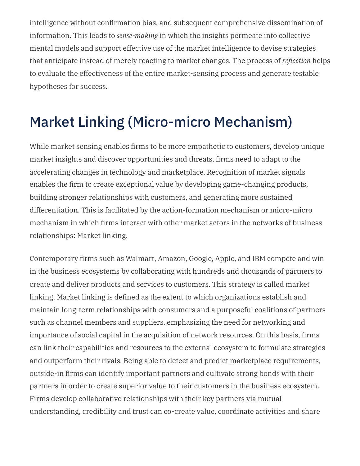intelligence without confirmation bias, and subsequent comprehensive dissemination of information. This leads to *sense-making* in which the insights permeate into collective mental models and support effective use of the market intelligence to devise strategies that anticipate instead of merely reacting to market changes. The process of *reflection* helps to evaluate the effectiveness of the entire market-sensing process and generate testable hypotheses for success.

# Market Linking (Micro-micro Mechanism)

While market sensing enables firms to be more empathetic to customers, develop unique market insights and discover opportunities and threats, firms need to adapt to the accelerating changes in technology and marketplace. Recognition of market signals enables the firm to create exceptional value by developing game-changing products, building stronger relationships with customers, and generating more sustained differentiation. This is facilitated by the action-formation mechanism or micro-micro mechanism in which firms interact with other market actors in the networks of business relationships: Market linking.

Contemporary firms such as Walmart, Amazon, Google, Apple, and IBM compete and win in the business ecosystems by collaborating with hundreds and thousands of partners to create and deliver products and services to customers. This strategy is called market linking. Market linking is defined as the extent to which organizations establish and maintain long-term relationships with consumers and a purposeful coalitions of partners such as channel members and suppliers, emphasizing the need for networking and importance of social capital in the acquisition of network resources. On this basis, firms can link their capabilities and resources to the external ecosystem to formulate strategies and outperform their rivals. Being able to detect and predict marketplace requirements, outside-in firms can identify important partners and cultivate strong bonds with their partners in order to create superior value to their customers in the business ecosystem. Firms develop collaborative relationships with their key partners via mutual understanding, credibility and trust can co-create value, coordinate activities and share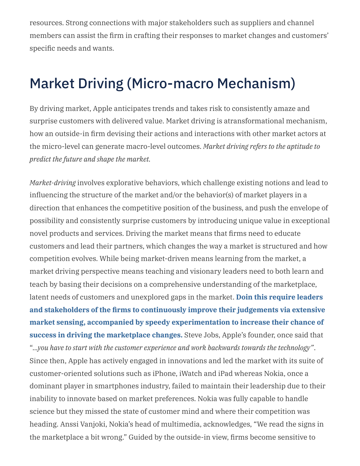resources. Strong connections with major stakeholders such as suppliers and channel members can assist the firm in crafting their responses to market changes and customers' specific needs and wants.

### Market Driving (Micro-macro Mechanism)

By driving market, Apple anticipates trends and takes risk to consistently amaze and surprise customers with delivered value. Market driving is atransformational mechanism, how an outside-in firm devising their actions and interactions with other market actors at the micro-level can generate macro-level outcomes. *Market driving refers to the aptitude to predict the future and shape the market.*

*Market-driving* involves explorative behaviors, which challenge existing notions and lead to influencing the structure of the market and/or the behavior(s) of market players in a direction that enhances the competitive position of the business, and push the envelope of possibility and consistently surprise customers by introducing unique value in exceptional novel products and services. Driving the market means that firms need to educate customers and lead their partners, which changes the way a market is structured and how competition evolves. While being market-driven means learning from the market, a market driving perspective means teaching and visionary leaders need to both learn and teach by basing their decisions on a comprehensive understanding of the marketplace, latent needs of customers and unexplored gaps in the market. **Doin this require leaders and stakeholders of the firms to continuously improve their judgements via extensive market sensing, accompanied by speedy [experimentation](http://localhost:4000/2022/02/competing-and-profiting-from-outside-in/) to increase their chance of success in driving the marketplace changes.** Steve Jobs, Apple's founder, once said that "*…you have to start with the customer experience and work backwards towards the technology"*. Since then, Apple has actively engaged in innovations and led the market with its suite of customer-oriented solutions such as iPhone, iWatch and iPad whereas Nokia, once a dominant player in smartphones industry, failed to maintain their leadership due to their inability to innovate based on market preferences. Nokia was fully capable to handle science but they missed the state of customer mind and where their competition was heading. Anssi Vanjoki, Nokia's head of multimedia, acknowledges, "We read the signs in the marketplace a bit wrong." Guided by the outside-in view, firms become sensitive to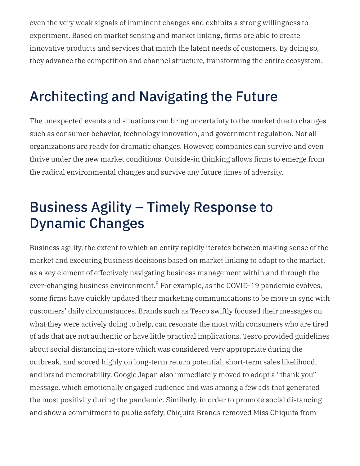even the very weak signals of imminent changes and exhibits a strong willingness to experiment. Based on market sensing and market linking, firms are able to create innovative products and services that match the latent needs of customers. By doing so, they advance the competition and channel structure, transforming the entire ecosystem.

## Architecting and Navigating the Future

The unexpected events and situations can bring uncertainty to the market due to changes such as consumer behavior, technology innovation, and government regulation. Not all organizations are ready for dramatic changes. However, companies can survive and even thrive under the new market conditions. Outside-in thinking allows firms to emerge from the radical environmental changes and survive any future times of adversity.

## Business Agility – Timely Response to Dynamic Changes

Business agility, the extent to which an entity rapidly iterates between making sense of the market and executing business decisions based on market linking to adapt to the market, as a key element of effectively navigating business management within and through the ever-changing business environment. $8$  For example, as the COVID-19 pandemic evolves, some firms have quickly updated their marketing communications to be more in sync with customers' daily circumstances. Brands such as Tesco swiftly focused their messages on what they were actively doing to help, can resonate the most with consumers who are tired of ads that are not authentic or have little practical implications. Tesco provided guidelines about social distancing in-store which was considered very appropriate during the outbreak, and scored highly on long-term return potential, short-term sales likelihood, and brand memorability. Google Japan also immediately moved to adopt a "thank you" message, which emotionally engaged audience and was among a few ads that generated the most positivity during the pandemic. Similarly, in order to promote social distancing and show a commitment to public safety, Chiquita Brands removed Miss Chiquita from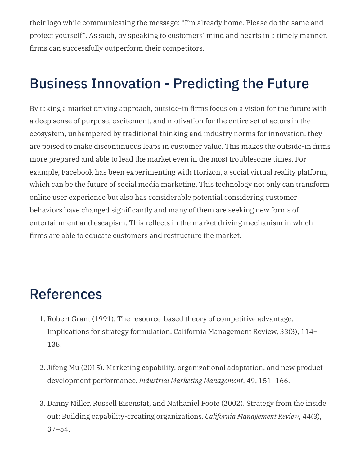their logo while communicating the message: "I'm already home. Please do the same and protect yourself". As such, by speaking to customers' mind and hearts in a timely manner, firms can successfully outperform their competitors.

## Business Innovation - Predicting the Future

By taking a market driving approach, outside-in firms focus on a vision for the future with a deep sense of purpose, excitement, and motivation for the entire set of actors in the ecosystem, unhampered by traditional thinking and industry norms for innovation, they are poised to make discontinuous leaps in customer value. This makes the outside-in firms more prepared and able to lead the market even in the most troublesome times. For example, Facebook has been experimenting with Horizon, a social virtual reality platform, which can be the future of social media marketing. This technology not only can transform online user experience but also has considerable potential considering customer behaviors have changed significantly and many of them are seeking new forms of entertainment and escapism. This reflects in the market driving mechanism in which firms are able to educate customers and restructure the market.

### References

- 1. Robert Grant (1991). The resource-based theory of competitive advantage: Implications for strategy formulation. California Management Review, 33(3), 114– 135.
- 2. Jifeng Mu (2015). Marketing capability, organizational adaptation, and new product development performance. *Industrial Marketing Management*, 49, 151–166.
- 3. Danny Miller, Russell Eisenstat, and Nathaniel Foote (2002). Strategy from the inside out: Building capability-creating organizations. *California Management Review*, 44(3), 37–54.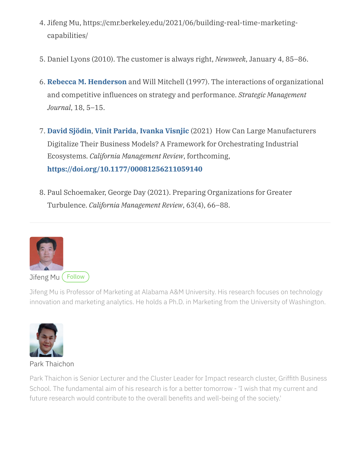- 4. Jifeng Mu, https://cmr.berkeley.edu/2021/06/building-real-time-marketingcapabilities/
- 5. Daniel Lyons (2010). The customer is always right, *Newsweek*, January 4, 85–86.
- 6. **Rebecca M. [Henderson](https://www.hbs.edu/faculty/Pages/profile.aspx?facId=12345&click=byline)** and Will Mitchell (1997). The interactions of organizational and competitive influences on strategy and performance. *Strategic Management Journal*, 18, 5–15.
- 7. **David [Sjödin](https://journals.sagepub.com/doi/full/10.1177/00081256211059140)**, **Vinit [Parida](https://journals.sagepub.com/doi/full/10.1177/00081256211059140)**, **Ivanka [Visnjic](https://journals.sagepub.com/doi/full/10.1177/00081256211059140)** (2021) How Can Large Manufacturers Digitalize Their Business Models? A Framework for Orchestrating Industrial Ecosystems. *California Management Review*, forthcoming, **[https://doi.org/10.1177/00081256211059140](https://doi.org/10.1177%2F00081256211059140)**
- 8. Paul Schoemaker, George Day (2021). Preparing Organizations for Greater Turbulence. *California Management Review*, 63(4), 66–88.



Jifeng Mu is Professor of Marketing at Alabama A&M University. His research focuses on technology innovation and marketing analytics. He holds a Ph.D. in Marketing from the University of Washington.



Park [Thaichon](https://experts.griffith.edu.au/9103-park-thaichon)

Park Thaichon is Senior Lecturer and the Cluster Leader for Impact research cluster, Griffith Business School. The fundamental aim of his research is for a better tomorrow - 'I wish that my current and future research would contribute to the overall benefits and well-being of the society.'